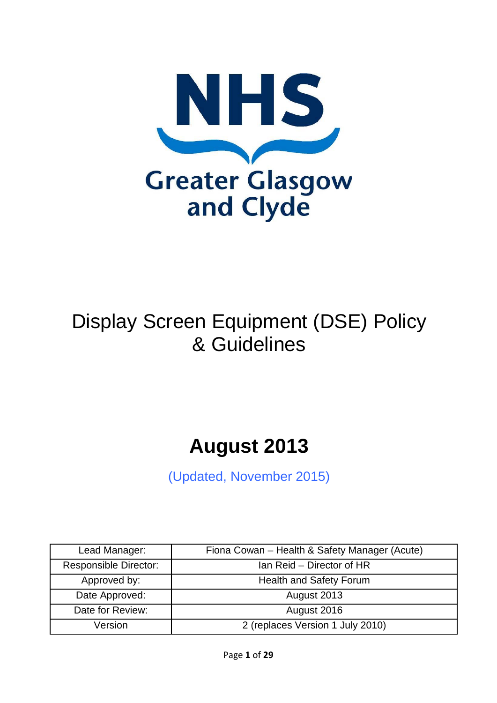

# Display Screen Equipment (DSE) Policy & Guidelines

# **August 2013**

(Updated, November 2015)

| Lead Manager:                | Fiona Cowan - Health & Safety Manager (Acute) |
|------------------------------|-----------------------------------------------|
| <b>Responsible Director:</b> | Ian Reid – Director of HR                     |
| Approved by:                 | Health and Safety Forum                       |
| Date Approved:               | August 2013                                   |
| Date for Review:             | August 2016                                   |
| Version                      | 2 (replaces Version 1 July 2010)              |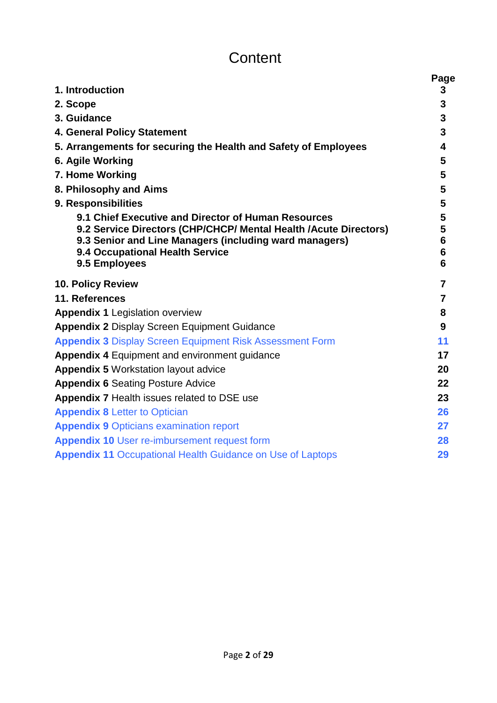# **Content**

|                                                                                           | Page                              |
|-------------------------------------------------------------------------------------------|-----------------------------------|
| 1. Introduction                                                                           | 3                                 |
| 2. Scope                                                                                  | 3                                 |
| 3. Guidance                                                                               | 3                                 |
| 4. General Policy Statement                                                               | 3                                 |
| 5. Arrangements for securing the Health and Safety of Employees                           | 4                                 |
| 6. Agile Working                                                                          | 5                                 |
| 7. Home Working                                                                           | 5                                 |
| 8. Philosophy and Aims                                                                    | 5                                 |
| 9. Responsibilities                                                                       | 5                                 |
| 9.1 Chief Executive and Director of Human Resources                                       | 5                                 |
| 9.2 Service Directors (CHP/CHCP/ Mental Health / Acute Directors)                         | 5                                 |
| 9.3 Senior and Line Managers (including ward managers)<br>9.4 Occupational Health Service | $6\phantom{a}$<br>$6\phantom{1}6$ |
| 9.5 Employees                                                                             | 6                                 |
| <b>10. Policy Review</b>                                                                  | $\overline{7}$                    |
| 11. References                                                                            | $\overline{7}$                    |
|                                                                                           | 8                                 |
| <b>Appendix 1 Legislation overview</b>                                                    | 9                                 |
| <b>Appendix 2 Display Screen Equipment Guidance</b>                                       |                                   |
| <b>Appendix 3 Display Screen Equipment Risk Assessment Form</b>                           | 11                                |
| <b>Appendix 4 Equipment and environment guidance</b>                                      | 17                                |
| <b>Appendix 5 Workstation layout advice</b>                                               | 20                                |
| <b>Appendix 6 Seating Posture Advice</b>                                                  | 22                                |
| <b>Appendix 7 Health issues related to DSE use</b>                                        | 23                                |
| <b>Appendix 8 Letter to Optician</b>                                                      | 26                                |
| <b>Appendix 9 Opticians examination report</b>                                            | 27                                |
| <b>Appendix 10 User re-imbursement request form</b>                                       | 28                                |
| <b>Appendix 11 Occupational Health Guidance on Use of Laptops</b>                         | 29                                |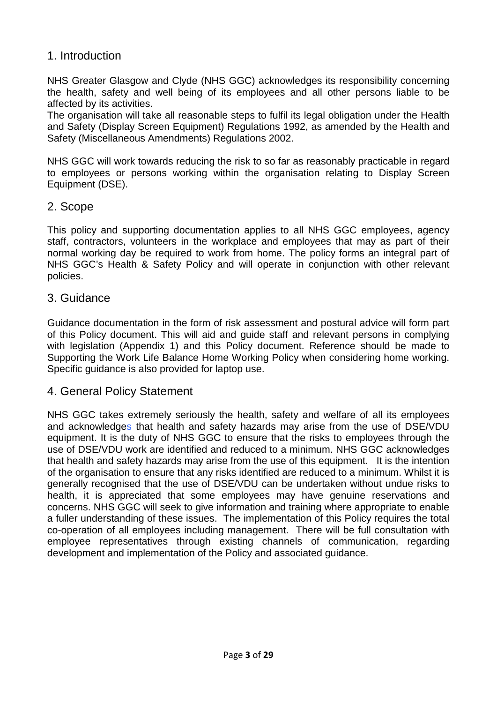### 1. Introduction

NHS Greater Glasgow and Clyde (NHS GGC) acknowledges its responsibility concerning the health, safety and well being of its employees and all other persons liable to be affected by its activities.

The organisation will take all reasonable steps to fulfil its legal obligation under the Health and Safety (Display Screen Equipment) Regulations 1992, as amended by the Health and Safety (Miscellaneous Amendments) Regulations 2002.

NHS GGC will work towards reducing the risk to so far as reasonably practicable in regard to employees or persons working within the organisation relating to Display Screen Equipment (DSE).

#### 2. Scope

This policy and supporting documentation applies to all NHS GGC employees, agency staff, contractors, volunteers in the workplace and employees that may as part of their normal working day be required to work from home. The policy forms an integral part of NHS GGC's Health & Safety Policy and will operate in conjunction with other relevant policies.

#### 3. Guidance

Guidance documentation in the form of risk assessment and postural advice will form part of this Policy document. This will aid and guide staff and relevant persons in complying with legislation (Appendix 1) and this Policy document. Reference should be made to Supporting the Work Life Balance Home Working Policy when considering home working. Specific guidance is also provided for laptop use.

#### 4. General Policy Statement

NHS GGC takes extremely seriously the health, safety and welfare of all its employees and acknowledges that health and safety hazards may arise from the use of DSE/VDU equipment. It is the duty of NHS GGC to ensure that the risks to employees through the use of DSE/VDU work are identified and reduced to a minimum. NHS GGC acknowledges that health and safety hazards may arise from the use of this equipment. It is the intention of the organisation to ensure that any risks identified are reduced to a minimum. Whilst it is generally recognised that the use of DSE/VDU can be undertaken without undue risks to health, it is appreciated that some employees may have genuine reservations and concerns. NHS GGC will seek to give information and training where appropriate to enable a fuller understanding of these issues. The implementation of this Policy requires the total co-operation of all employees including management. There will be full consultation with employee representatives through existing channels of communication, regarding development and implementation of the Policy and associated guidance.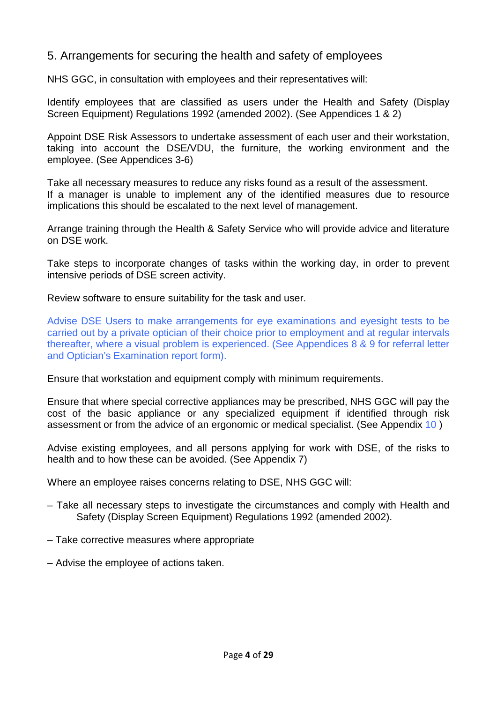### 5. Arrangements for securing the health and safety of employees

NHS GGC, in consultation with employees and their representatives will:

Identify employees that are classified as users under the Health and Safety (Display Screen Equipment) Regulations 1992 (amended 2002). (See Appendices 1 & 2)

Appoint DSE Risk Assessors to undertake assessment of each user and their workstation, taking into account the DSE/VDU, the furniture, the working environment and the employee. (See Appendices 3-6)

Take all necessary measures to reduce any risks found as a result of the assessment. If a manager is unable to implement any of the identified measures due to resource implications this should be escalated to the next level of management.

Arrange training through the Health & Safety Service who will provide advice and literature on DSE work.

Take steps to incorporate changes of tasks within the working day, in order to prevent intensive periods of DSE screen activity.

Review software to ensure suitability for the task and user.

Advise DSE Users to make arrangements for eye examinations and eyesight tests to be carried out by a private optician of their choice prior to employment and at regular intervals thereafter, where a visual problem is experienced. (See Appendices 8 & 9 for referral letter and Optician's Examination report form).

Ensure that workstation and equipment comply with minimum requirements.

Ensure that where special corrective appliances may be prescribed, NHS GGC will pay the cost of the basic appliance or any specialized equipment if identified through risk assessment or from the advice of an ergonomic or medical specialist. (See Appendix 10 )

Advise existing employees, and all persons applying for work with DSE, of the risks to health and to how these can be avoided. (See Appendix 7)

Where an employee raises concerns relating to DSE, NHS GGC will:

- Take all necessary steps to investigate the circumstances and comply with Health and Safety (Display Screen Equipment) Regulations 1992 (amended 2002).
- Take corrective measures where appropriate
- Advise the employee of actions taken.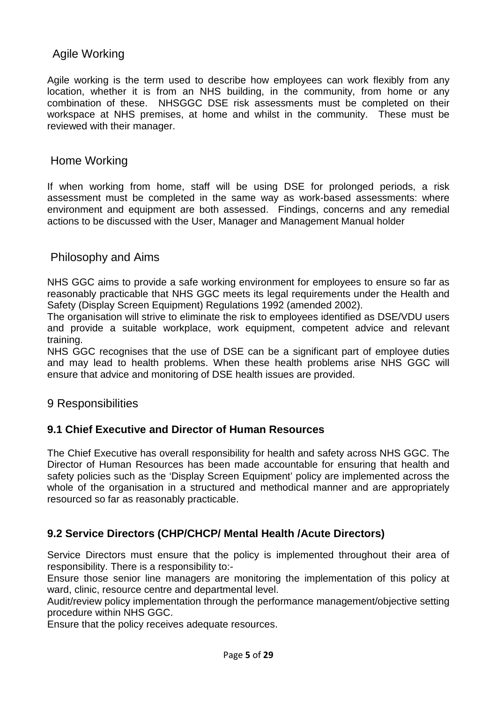### Agile Working

Agile working is the term used to describe how employees can work flexibly from any location, whether it is from an NHS building, in the community, from home or any combination of these. NHSGGC DSE risk assessments must be completed on their workspace at NHS premises, at home and whilst in the community. These must be reviewed with their manager.

#### Home Working

If when working from home, staff will be using DSE for prolonged periods, a risk assessment must be completed in the same way as work-based assessments: where environment and equipment are both assessed. Findings, concerns and any remedial actions to be discussed with the User, Manager and Management Manual holder

#### Philosophy and Aims

NHS GGC aims to provide a safe working environment for employees to ensure so far as reasonably practicable that NHS GGC meets its legal requirements under the Health and Safety (Display Screen Equipment) Regulations 1992 (amended 2002).

The organisation will strive to eliminate the risk to employees identified as DSE/VDU users and provide a suitable workplace, work equipment, competent advice and relevant training.

NHS GGC recognises that the use of DSE can be a significant part of employee duties and may lead to health problems. When these health problems arise NHS GGC will ensure that advice and monitoring of DSE health issues are provided.

#### 9 Responsibilities

#### **9.1 Chief Executive and Director of Human Resources**

The Chief Executive has overall responsibility for health and safety across NHS GGC. The Director of Human Resources has been made accountable for ensuring that health and safety policies such as the 'Display Screen Equipment' policy are implemented across the whole of the organisation in a structured and methodical manner and are appropriately resourced so far as reasonably practicable.

### **9.2 Service Directors (CHP/CHCP/ Mental Health /Acute Directors)**

Service Directors must ensure that the policy is implemented throughout their area of responsibility. There is a responsibility to:-

Ensure those senior line managers are monitoring the implementation of this policy at ward, clinic, resource centre and departmental level.

Audit/review policy implementation through the performance management/objective setting procedure within NHS GGC.

Ensure that the policy receives adequate resources.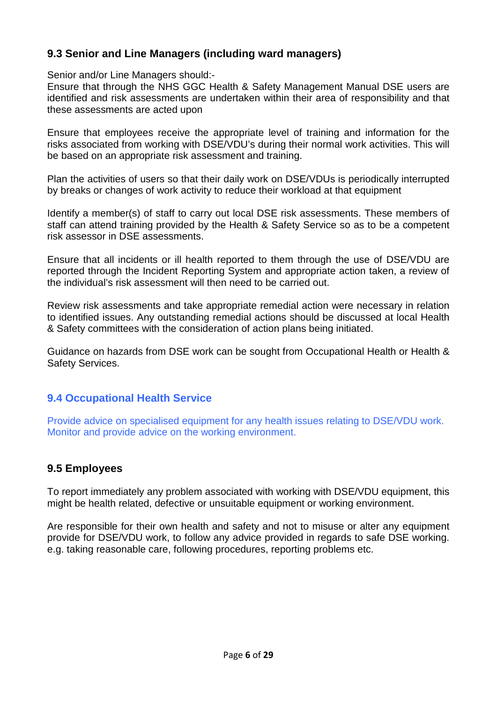### **9.3 Senior and Line Managers (including ward managers)**

Senior and/or Line Managers should:-

Ensure that through the NHS GGC Health & Safety Management Manual DSE users are identified and risk assessments are undertaken within their area of responsibility and that these assessments are acted upon

Ensure that employees receive the appropriate level of training and information for the risks associated from working with DSE/VDU's during their normal work activities. This will be based on an appropriate risk assessment and training.

Plan the activities of users so that their daily work on DSE/VDUs is periodically interrupted by breaks or changes of work activity to reduce their workload at that equipment

Identify a member(s) of staff to carry out local DSE risk assessments. These members of staff can attend training provided by the Health & Safety Service so as to be a competent risk assessor in DSE assessments.

Ensure that all incidents or ill health reported to them through the use of DSE/VDU are reported through the Incident Reporting System and appropriate action taken, a review of the individual's risk assessment will then need to be carried out.

Review risk assessments and take appropriate remedial action were necessary in relation to identified issues. Any outstanding remedial actions should be discussed at local Health & Safety committees with the consideration of action plans being initiated.

Guidance on hazards from DSE work can be sought from Occupational Health or Health & Safety Services.

### **9.4 Occupational Health Service**

Provide advice on specialised equipment for any health issues relating to DSE/VDU work. Monitor and provide advice on the working environment.

### **9.5 Employees**

To report immediately any problem associated with working with DSE/VDU equipment, this might be health related, defective or unsuitable equipment or working environment.

Are responsible for their own health and safety and not to misuse or alter any equipment provide for DSE/VDU work, to follow any advice provided in regards to safe DSE working. e.g. taking reasonable care, following procedures, reporting problems etc.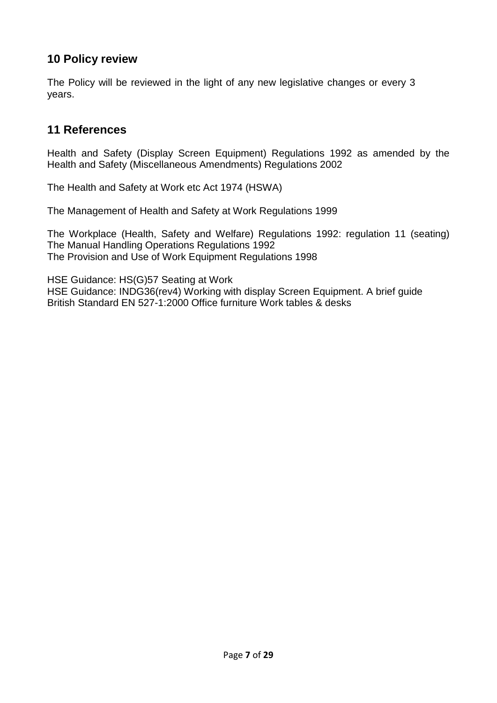### **10 Policy review**

The Policy will be reviewed in the light of any new legislative changes or every 3 years.

### **11 References**

Health and Safety (Display Screen Equipment) Regulations 1992 as amended by the Health and Safety (Miscellaneous Amendments) Regulations 2002

The Health and Safety at Work etc Act 1974 (HSWA)

The Management of Health and Safety at Work Regulations 1999

The Workplace (Health, Safety and Welfare) Regulations 1992: regulation 11 (seating) The Manual Handling Operations Regulations 1992 The Provision and Use of Work Equipment Regulations 1998

HSE Guidance: HS(G)57 Seating at Work HSE Guidance: INDG36(rev4) Working with display Screen Equipment. A brief guide British Standard EN 527-1:2000 Office furniture Work tables & desks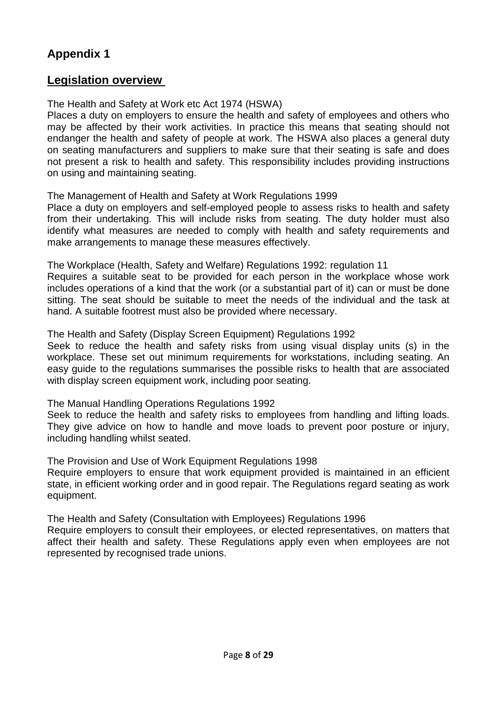### **Legislation overview**

#### The Health and Safety at Work etc Act 1974 (HSWA)

Places a duty on employers to ensure the health and safety of employees and others who may be affected by their work activities. In practice this means that seating should not endanger the health and safety of people at work. The HSWA also places a general duty on seating manufacturers and suppliers to make sure that their seating is safe and does not present a risk to health and safety. This responsibility includes providing instructions on using and maintaining seating.

The Management of Health and Safety at Work Regulations 1999

Place a duty on employers and self-employed people to assess risks to health and safety from their undertaking. This will include risks from seating. The duty holder must also identify what measures are needed to comply with health and safety requirements and make arrangements to manage these measures effectively.

The Workplace (Health, Safety and Welfare) Regulations 1992: regulation 11 Requires a suitable seat to be provided for each person in the workplace whose work includes operations of a kind that the work (or a substantial part of it) can or must be done sitting. The seat should be suitable to meet the needs of the individual and the task at

hand. A suitable footrest must also be provided where necessary.

The Health and Safety (Display Screen Equipment) Regulations 1992

Seek to reduce the health and safety risks from using visual display units (s) in the workplace. These set out minimum requirements for workstations, including seating. An easy guide to the regulations summarises the possible risks to health that are associated with display screen equipment work, including poor seating.

The Manual Handling Operations Regulations 1992

Seek to reduce the health and safety risks to employees from handling and lifting loads. They give advice on how to handle and move loads to prevent poor posture or injury, including handling whilst seated.

The Provision and Use of Work Equipment Regulations 1998

Require employers to ensure that work equipment provided is maintained in an efficient state, in efficient working order and in good repair. The Regulations regard seating as work equipment.

The Health and Safety (Consultation with Employees) Regulations 1996

Require employers to consult their employees, or elected representatives, on matters that affect their health and safety. These Regulations apply even when employees are not represented by recognised trade unions.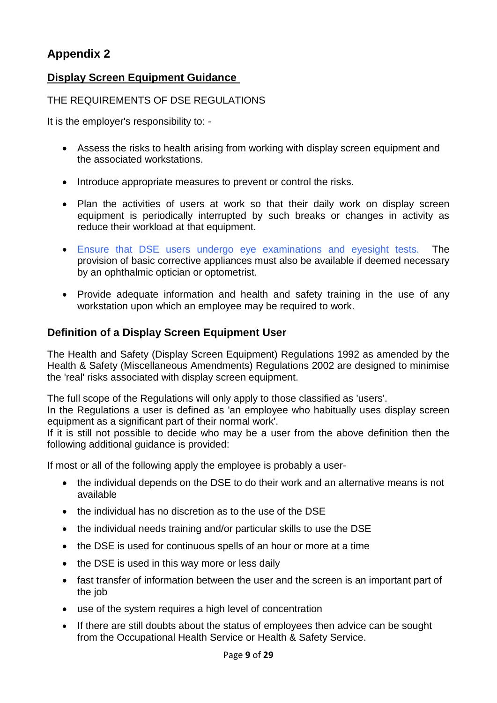### **Display Screen Equipment Guidance**

#### THE REQUIREMENTS OF DSE REGULATIONS

It is the employer's responsibility to: -

- Assess the risks to health arising from working with display screen equipment and the associated workstations.
- Introduce appropriate measures to prevent or control the risks.
- Plan the activities of users at work so that their daily work on display screen equipment is periodically interrupted by such breaks or changes in activity as reduce their workload at that equipment.
- Ensure that DSE users undergo eye examinations and eyesight tests. The provision of basic corrective appliances must also be available if deemed necessary by an ophthalmic optician or optometrist.
- Provide adequate information and health and safety training in the use of any workstation upon which an employee may be required to work.

### **Definition of a Display Screen Equipment User**

The Health and Safety (Display Screen Equipment) Regulations 1992 as amended by the Health & Safety (Miscellaneous Amendments) Regulations 2002 are designed to minimise the 'real' risks associated with display screen equipment.

The full scope of the Regulations will only apply to those classified as 'users'.

In the Regulations a user is defined as 'an employee who habitually uses display screen equipment as a significant part of their normal work'.

If it is still not possible to decide who may be a user from the above definition then the following additional guidance is provided:

If most or all of the following apply the employee is probably a user-

- the individual depends on the DSE to do their work and an alternative means is not available
- the individual has no discretion as to the use of the DSE
- the individual needs training and/or particular skills to use the DSE
- the DSE is used for continuous spells of an hour or more at a time
- the DSE is used in this way more or less daily
- fast transfer of information between the user and the screen is an important part of the job
- use of the system requires a high level of concentration
- If there are still doubts about the status of employees then advice can be sought from the Occupational Health Service or Health & Safety Service.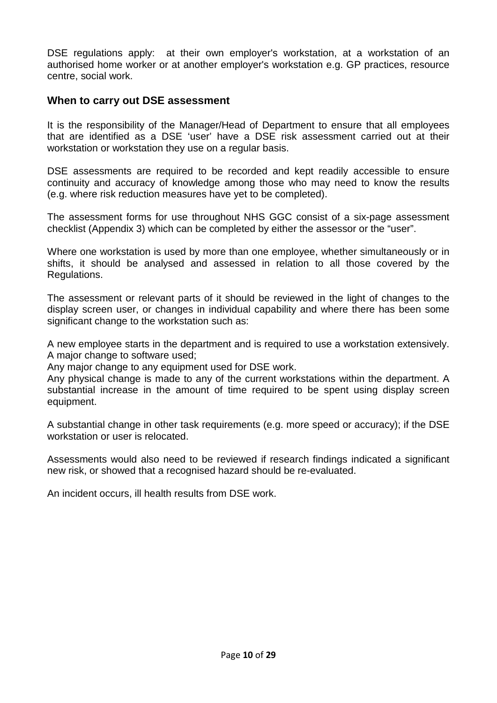DSE regulations apply: at their own employer's workstation, at a workstation of an authorised home worker or at another employer's workstation e.g. GP practices, resource centre, social work.

#### **When to carry out DSE assessment**

It is the responsibility of the Manager/Head of Department to ensure that all employees that are identified as a DSE 'user' have a DSE risk assessment carried out at their workstation or workstation they use on a regular basis.

DSE assessments are required to be recorded and kept readily accessible to ensure continuity and accuracy of knowledge among those who may need to know the results (e.g. where risk reduction measures have yet to be completed).

The assessment forms for use throughout NHS GGC consist of a six-page assessment checklist (Appendix 3) which can be completed by either the assessor or the "user".

Where one workstation is used by more than one employee, whether simultaneously or in shifts, it should be analysed and assessed in relation to all those covered by the Regulations.

The assessment or relevant parts of it should be reviewed in the light of changes to the display screen user, or changes in individual capability and where there has been some significant change to the workstation such as:

A new employee starts in the department and is required to use a workstation extensively. A major change to software used;

Any major change to any equipment used for DSE work.

Any physical change is made to any of the current workstations within the department. A substantial increase in the amount of time required to be spent using display screen equipment.

A substantial change in other task requirements (e.g. more speed or accuracy); if the DSE workstation or user is relocated.

Assessments would also need to be reviewed if research findings indicated a significant new risk, or showed that a recognised hazard should be re-evaluated.

An incident occurs, ill health results from DSE work.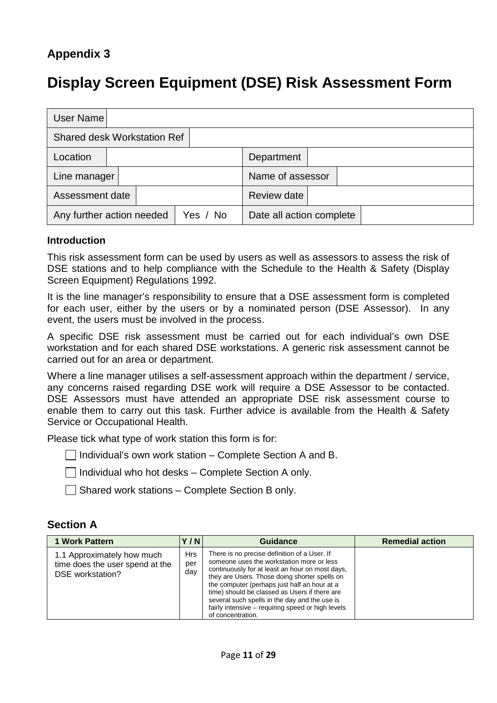# **Display Screen Equipment (DSE) Risk Assessment Form**

| User Name                          |  |          |                          |  |
|------------------------------------|--|----------|--------------------------|--|
| <b>Shared desk Workstation Ref</b> |  |          |                          |  |
| Location                           |  |          | Department               |  |
| Line manager                       |  |          | Name of assessor         |  |
| Assessment date                    |  |          | Review date              |  |
| Any further action needed          |  | Yes / No | Date all action complete |  |

#### **Introduction**

This risk assessment form can be used by users as well as assessors to assess the risk of DSE stations and to help compliance with the Schedule to the Health & Safety (Display Screen Equipment) Regulations 1992.

It is the line manager's responsibility to ensure that a DSE assessment form is completed for each user, either by the users or by a nominated person (DSE Assessor). In any event, the users must be involved in the process.

A specific DSE risk assessment must be carried out for each individual's own DSE workstation and for each shared DSE workstations. A generic risk assessment cannot be carried out for an area or department.

Where a line manager utilises a self-assessment approach within the department / service, any concerns raised regarding DSE work will require a DSE Assessor to be contacted. DSE Assessors must have attended an appropriate DSE risk assessment course to enable them to carry out this task. Further advice is available from the Health & Safety Service or Occupational Health.

Please tick what type of work station this form is for:

 $\Box$  Individual's own work station – Complete Section A and B.

 $\Box$  Individual who hot desks – Complete Section A only.

 $\Box$  Shared work stations – Complete Section B only.

#### **Section A**

| <b>1 Work Pattern</b>                                                             | Y/N                      | Guidance                                                                                                                                                                                                                                                                                                                                                                                                                  | <b>Remedial action</b> |
|-----------------------------------------------------------------------------------|--------------------------|---------------------------------------------------------------------------------------------------------------------------------------------------------------------------------------------------------------------------------------------------------------------------------------------------------------------------------------------------------------------------------------------------------------------------|------------------------|
| 1.1 Approximately how much<br>time does the user spend at the<br>DSE workstation? | <b>Hrs</b><br>per<br>day | There is no precise definition of a User. If<br>someone uses the workstation more or less<br>continuously for at least an hour on most days,<br>they are Users. Those doing shorter spells on<br>the computer (perhaps just half an hour at a<br>time) should be classed as Users if there are<br>several such spells in the day and the use is<br>fairly intensive – requiring speed or high levels<br>of concentration. |                        |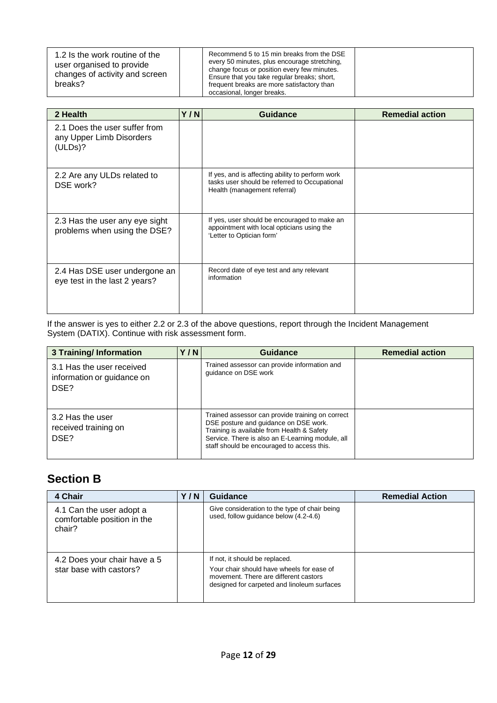| 1.2 Is the work routine of the<br>user organised to provide<br>changes of activity and screen<br>breaks? | Recommend 5 to 15 min breaks from the DSE<br>every 50 minutes, plus encourage stretching,<br>change focus or position every few minutes.<br>Ensure that you take regular breaks; short,<br>frequent breaks are more satisfactory than<br>occasional, longer breaks. |  |
|----------------------------------------------------------------------------------------------------------|---------------------------------------------------------------------------------------------------------------------------------------------------------------------------------------------------------------------------------------------------------------------|--|
|----------------------------------------------------------------------------------------------------------|---------------------------------------------------------------------------------------------------------------------------------------------------------------------------------------------------------------------------------------------------------------------|--|

| 2 Health                                                             | Y/N | Guidance                                                                                                                          | <b>Remedial action</b> |
|----------------------------------------------------------------------|-----|-----------------------------------------------------------------------------------------------------------------------------------|------------------------|
| 2.1 Does the user suffer from<br>any Upper Limb Disorders<br>(ULDs)? |     |                                                                                                                                   |                        |
| 2.2 Are any ULDs related to<br>DSE work?                             |     | If yes, and is affecting ability to perform work<br>tasks user should be referred to Occupational<br>Health (management referral) |                        |
| 2.3 Has the user any eye sight<br>problems when using the DSE?       |     | If yes, user should be encouraged to make an<br>appointment with local opticians using the<br>'Letter to Optician form'           |                        |
| 2.4 Has DSE user undergone an<br>eye test in the last 2 years?       |     | Record date of eye test and any relevant<br>information                                                                           |                        |

If the answer is yes to either 2.2 or 2.3 of the above questions, report through the Incident Management System (DATIX). Continue with risk assessment form.

| <b>3 Training/Information</b>                                   | Y/N | <b>Guidance</b>                                                                                                                                                                                                                           | <b>Remedial action</b> |
|-----------------------------------------------------------------|-----|-------------------------------------------------------------------------------------------------------------------------------------------------------------------------------------------------------------------------------------------|------------------------|
| 3.1 Has the user received<br>information or guidance on<br>DSE? |     | Trained assessor can provide information and<br>quidance on DSE work                                                                                                                                                                      |                        |
| 3.2 Has the user<br>received training on<br>DSE?                |     | Trained assessor can provide training on correct<br>DSE posture and guidance on DSE work.<br>Training is available from Health & Safety<br>Service. There is also an E-Learning module, all<br>staff should be encouraged to access this. |                        |

### **Section B**

| 4 Chair                                                           | Y/N | Guidance                                                                                                                                                            | <b>Remedial Action</b> |
|-------------------------------------------------------------------|-----|---------------------------------------------------------------------------------------------------------------------------------------------------------------------|------------------------|
| 4.1 Can the user adopt a<br>comfortable position in the<br>chair? |     | Give consideration to the type of chair being<br>used, follow quidance below (4.2-4.6)                                                                              |                        |
| 4.2 Does your chair have a 5<br>star base with castors?           |     | If not, it should be replaced.<br>Your chair should have wheels for ease of<br>movement. There are different castors<br>designed for carpeted and linoleum surfaces |                        |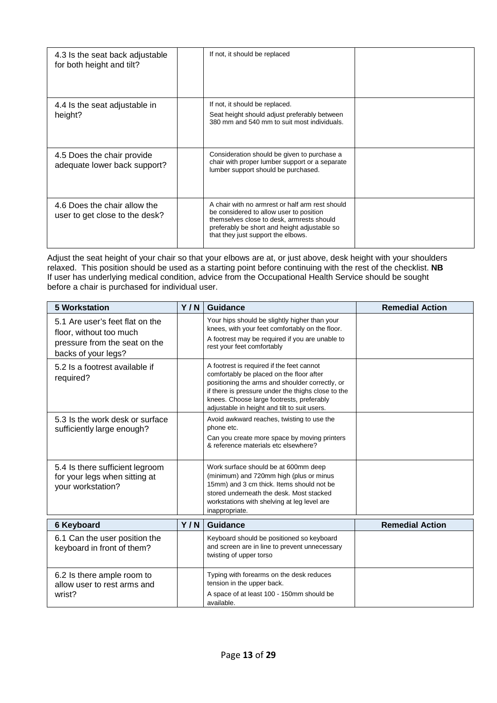| 4.3 Is the seat back adjustable<br>for both height and tilt?   | If not, it should be replaced                                                                                                                                                                                                 |  |
|----------------------------------------------------------------|-------------------------------------------------------------------------------------------------------------------------------------------------------------------------------------------------------------------------------|--|
| 4.4 Is the seat adjustable in<br>height?                       | If not, it should be replaced.<br>Seat height should adjust preferably between<br>380 mm and 540 mm to suit most individuals.                                                                                                 |  |
| 4.5 Does the chair provide<br>adequate lower back support?     | Consideration should be given to purchase a<br>chair with proper lumber support or a separate<br>lumber support should be purchased.                                                                                          |  |
| 4.6 Does the chair allow the<br>user to get close to the desk? | A chair with no armrest or half arm rest should<br>be considered to allow user to position<br>themselves close to desk, armrests should<br>preferably be short and height adjustable so<br>that they just support the elbows. |  |

Adjust the seat height of your chair so that your elbows are at, or just above, desk height with your shoulders relaxed. This position should be used as a starting point before continuing with the rest of the checklist. **NB** If user has underlying medical condition, advice from the Occupational Health Service should be sought before a chair is purchased for individual user.

| <b>5 Workstation</b>                                                                                               | Y/N | <b>Guidance</b>                                                                                                                                                                                                                                                                             | <b>Remedial Action</b> |
|--------------------------------------------------------------------------------------------------------------------|-----|---------------------------------------------------------------------------------------------------------------------------------------------------------------------------------------------------------------------------------------------------------------------------------------------|------------------------|
| 5.1 Are user's feet flat on the<br>floor, without too much<br>pressure from the seat on the<br>backs of your legs? |     | Your hips should be slightly higher than your<br>knees, with your feet comfortably on the floor.<br>A footrest may be required if you are unable to<br>rest your feet comfortably                                                                                                           |                        |
| 5.2 Is a footrest available if<br>required?                                                                        |     | A footrest is required if the feet cannot<br>comfortably be placed on the floor after<br>positioning the arms and shoulder correctly, or<br>if there is pressure under the thighs close to the<br>knees. Choose large footrests, preferably<br>adjustable in height and tilt to suit users. |                        |
| 5.3 Is the work desk or surface<br>sufficiently large enough?                                                      |     | Avoid awkward reaches, twisting to use the<br>phone etc.<br>Can you create more space by moving printers<br>& reference materials etc elsewhere?                                                                                                                                            |                        |
| 5.4 Is there sufficient legroom<br>for your legs when sitting at<br>your workstation?                              |     | Work surface should be at 600mm deep<br>(minimum) and 720mm high (plus or minus<br>15mm) and 3 cm thick. Items should not be<br>stored underneath the desk. Most stacked<br>workstations with shelving at leg level are<br>inappropriate.                                                   |                        |
| <b>6 Keyboard</b>                                                                                                  | Y/N | <b>Guidance</b>                                                                                                                                                                                                                                                                             | <b>Remedial Action</b> |
| 6.1 Can the user position the<br>keyboard in front of them?                                                        |     | Keyboard should be positioned so keyboard<br>and screen are in line to prevent unnecessary<br>twisting of upper torso                                                                                                                                                                       |                        |
| 6.2 Is there ample room to<br>allow user to rest arms and<br>wrist?                                                |     | Typing with forearms on the desk reduces<br>tension in the upper back.<br>A space of at least 100 - 150mm should be<br>available.                                                                                                                                                           |                        |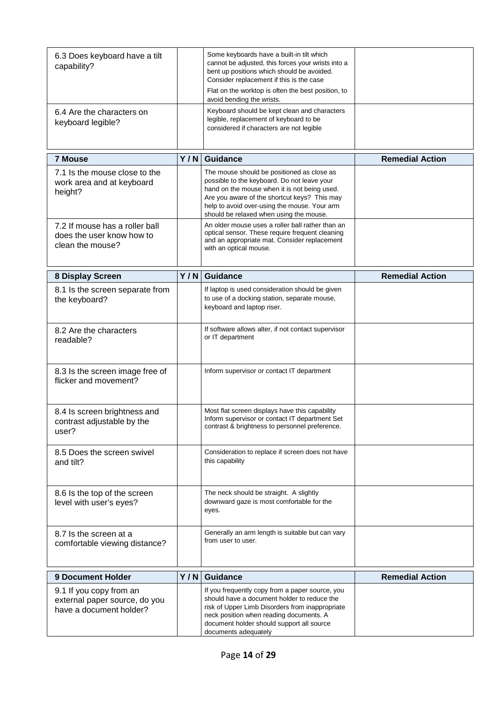| 6.3 Does keyboard have a tilt<br>capability?<br>6.4 Are the characters on           |     | Some keyboards have a built-in tilt which<br>cannot be adjusted, this forces your wrists into a<br>bent up positions which should be avoided.<br>Consider replacement if this is the case<br>Flat on the worktop is often the best position, to<br>avoid bending the wrists.<br>Keyboard should be kept clean and characters |                        |
|-------------------------------------------------------------------------------------|-----|------------------------------------------------------------------------------------------------------------------------------------------------------------------------------------------------------------------------------------------------------------------------------------------------------------------------------|------------------------|
| keyboard legible?                                                                   |     | legible, replacement of keyboard to be<br>considered if characters are not legible                                                                                                                                                                                                                                           |                        |
| <b>7 Mouse</b>                                                                      | Y/N | <b>Guidance</b>                                                                                                                                                                                                                                                                                                              | <b>Remedial Action</b> |
| 7.1 Is the mouse close to the<br>work area and at keyboard<br>height?               |     | The mouse should be positioned as close as<br>possible to the keyboard. Do not leave your<br>hand on the mouse when it is not being used.<br>Are you aware of the shortcut keys? This may<br>help to avoid over-using the mouse. Your arm<br>should be relaxed when using the mouse.                                         |                        |
| 7.2 If mouse has a roller ball<br>does the user know how to<br>clean the mouse?     |     | An older mouse uses a roller ball rather than an<br>optical sensor. These require frequent cleaning<br>and an appropriate mat. Consider replacement<br>with an optical mouse.                                                                                                                                                |                        |
| 8 Display Screen                                                                    | Y/N | <b>Guidance</b>                                                                                                                                                                                                                                                                                                              | <b>Remedial Action</b> |
| 8.1 Is the screen separate from<br>the keyboard?                                    |     | If laptop is used consideration should be given<br>to use of a docking station, separate mouse,<br>keyboard and laptop riser.                                                                                                                                                                                                |                        |
| 8.2 Are the characters<br>readable?                                                 |     | If software allows alter, if not contact supervisor<br>or IT department                                                                                                                                                                                                                                                      |                        |
| 8.3 Is the screen image free of<br>flicker and movement?                            |     | Inform supervisor or contact IT department                                                                                                                                                                                                                                                                                   |                        |
| 8.4 Is screen brightness and<br>contrast adjustable by the<br>user?                 |     | Most flat screen displays have this capability<br>Inform supervisor or contact IT department Set<br>contrast & brightness to personnel preference.                                                                                                                                                                           |                        |
| 8.5 Does the screen swivel<br>and tilt?                                             |     | Consideration to replace if screen does not have<br>this capability                                                                                                                                                                                                                                                          |                        |
| 8.6 Is the top of the screen<br>level with user's eyes?                             |     | The neck should be straight. A slightly<br>downward gaze is most comfortable for the<br>eyes.                                                                                                                                                                                                                                |                        |
| 8.7 Is the screen at a<br>comfortable viewing distance?                             |     | Generally an arm length is suitable but can vary<br>from user to user.                                                                                                                                                                                                                                                       |                        |
| <b>9 Document Holder</b>                                                            | Y/N | <b>Guidance</b>                                                                                                                                                                                                                                                                                                              | <b>Remedial Action</b> |
| 9.1 If you copy from an<br>external paper source, do you<br>have a document holder? |     | If you frequently copy from a paper source, you<br>should have a document holder to reduce the<br>risk of Upper Limb Disorders from inappropriate<br>neck position when reading documents. A<br>document holder should support all source<br>documents adequately                                                            |                        |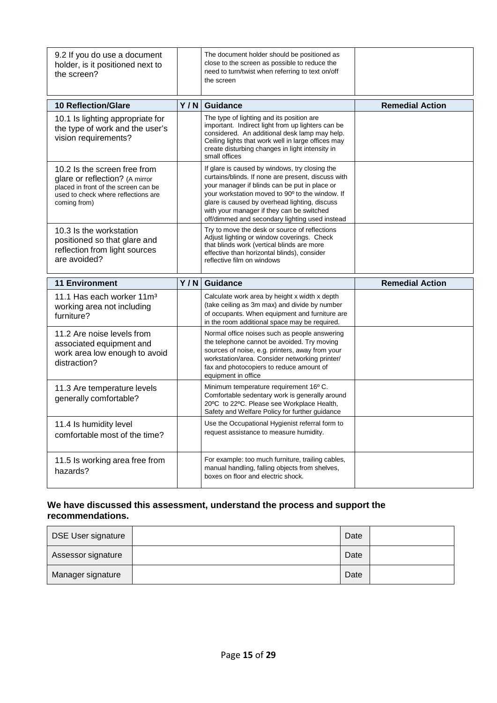| 9.2 If you do use a document<br>holder, is it positioned next to<br>the screen?                                                                               |     | The document holder should be positioned as<br>close to the screen as possible to reduce the<br>need to turn/twist when referring to text on/off<br>the screen                                                                                                                                                                                           |                        |
|---------------------------------------------------------------------------------------------------------------------------------------------------------------|-----|----------------------------------------------------------------------------------------------------------------------------------------------------------------------------------------------------------------------------------------------------------------------------------------------------------------------------------------------------------|------------------------|
| <b>10 Reflection/Glare</b>                                                                                                                                    | Y/N | Guidance                                                                                                                                                                                                                                                                                                                                                 | <b>Remedial Action</b> |
| 10.1 Is lighting appropriate for<br>the type of work and the user's<br>vision requirements?                                                                   |     | The type of lighting and its position are<br>important. Indirect light from up lighters can be<br>considered. An additional desk lamp may help.<br>Ceiling lights that work well in large offices may<br>create disturbing changes in light intensity in<br>small offices                                                                                |                        |
| 10.2 Is the screen free from<br>glare or reflection? (A mirror<br>placed in front of the screen can be<br>used to check where reflections are<br>coming from) |     | If glare is caused by windows, try closing the<br>curtains/blinds. If none are present, discuss with<br>your manager if blinds can be put in place or<br>your workstation moved to 90° to the window. If<br>glare is caused by overhead lighting, discuss<br>with your manager if they can be switched<br>off/dimmed and secondary lighting used instead |                        |
| 10.3 Is the workstation<br>positioned so that glare and<br>reflection from light sources<br>are avoided?                                                      |     | Try to move the desk or source of reflections<br>Adjust lighting or window coverings. Check<br>that blinds work (vertical blinds are more<br>effective than horizontal blinds), consider<br>reflective film on windows                                                                                                                                   |                        |
|                                                                                                                                                               |     |                                                                                                                                                                                                                                                                                                                                                          |                        |
| <b>11 Environment</b>                                                                                                                                         | Y/N | <b>Guidance</b>                                                                                                                                                                                                                                                                                                                                          | <b>Remedial Action</b> |
| 11.1 Has each worker 11m <sup>3</sup><br>working area not including<br>furniture?                                                                             |     | Calculate work area by height x width x depth<br>(take ceiling as 3m max) and divide by number<br>of occupants. When equipment and furniture are<br>in the room additional space may be required.                                                                                                                                                        |                        |
| 11.2 Are noise levels from<br>associated equipment and<br>work area low enough to avoid<br>distraction?                                                       |     | Normal office noises such as people answering<br>the telephone cannot be avoided. Try moving<br>sources of noise, e.g. printers, away from your<br>workstation/area. Consider networking printer/<br>fax and photocopiers to reduce amount of<br>equipment in office                                                                                     |                        |
| 11.3 Are temperature levels<br>generally comfortable?                                                                                                         |     | Minimum temperature requirement 16° C.<br>Comfortable sedentary work is generally around<br>20°C to 22°C. Please see Workplace Health,<br>Safety and Welfare Policy for further guidance                                                                                                                                                                 |                        |
| 11.4 Is humidity level<br>comfortable most of the time?                                                                                                       |     | Use the Occupational Hygienist referral form to<br>request assistance to measure humidity.                                                                                                                                                                                                                                                               |                        |

#### **We have discussed this assessment, understand the process and support the recommendations.**

| DSE User signature | Date |  |
|--------------------|------|--|
| Assessor signature | Date |  |
| Manager signature  | Date |  |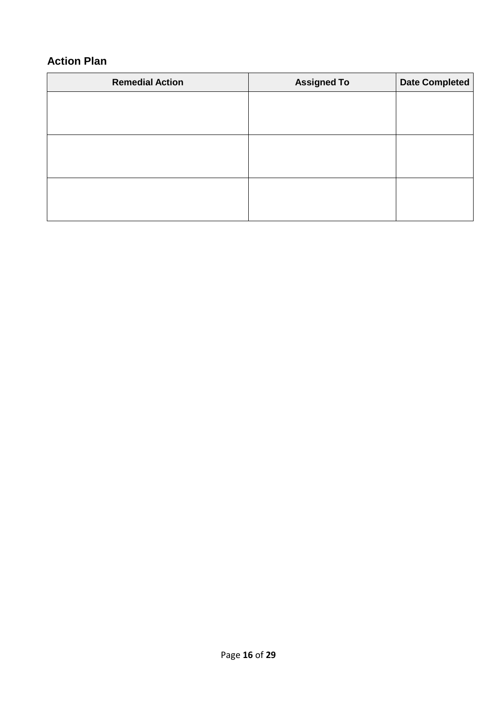### **Action Plan**

| <b>Remedial Action</b> | <b>Assigned To</b> | <b>Date Completed</b> |
|------------------------|--------------------|-----------------------|
|                        |                    |                       |
|                        |                    |                       |
|                        |                    |                       |
|                        |                    |                       |
|                        |                    |                       |
|                        |                    |                       |
|                        |                    |                       |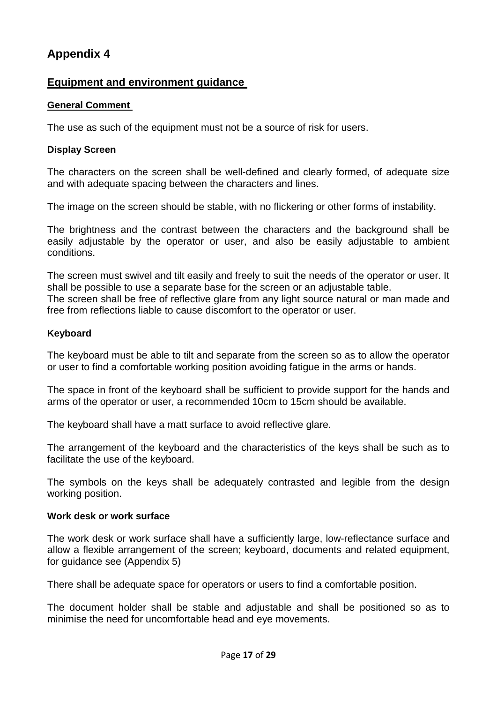#### **Equipment and environment guidance**

#### **General Comment**

The use as such of the equipment must not be a source of risk for users.

#### **Display Screen**

The characters on the screen shall be well-defined and clearly formed, of adequate size and with adequate spacing between the characters and lines.

The image on the screen should be stable, with no flickering or other forms of instability.

The brightness and the contrast between the characters and the background shall be easily adjustable by the operator or user, and also be easily adjustable to ambient conditions.

The screen must swivel and tilt easily and freely to suit the needs of the operator or user. It shall be possible to use a separate base for the screen or an adjustable table. The screen shall be free of reflective glare from any light source natural or man made and free from reflections liable to cause discomfort to the operator or user.

#### **Keyboard**

The keyboard must be able to tilt and separate from the screen so as to allow the operator or user to find a comfortable working position avoiding fatigue in the arms or hands.

The space in front of the keyboard shall be sufficient to provide support for the hands and arms of the operator or user, a recommended 10cm to 15cm should be available.

The keyboard shall have a matt surface to avoid reflective glare.

The arrangement of the keyboard and the characteristics of the keys shall be such as to facilitate the use of the keyboard.

The symbols on the keys shall be adequately contrasted and legible from the design working position.

#### **Work desk or work surface**

The work desk or work surface shall have a sufficiently large, low-reflectance surface and allow a flexible arrangement of the screen; keyboard, documents and related equipment, for guidance see (Appendix 5)

There shall be adequate space for operators or users to find a comfortable position.

The document holder shall be stable and adjustable and shall be positioned so as to minimise the need for uncomfortable head and eye movements.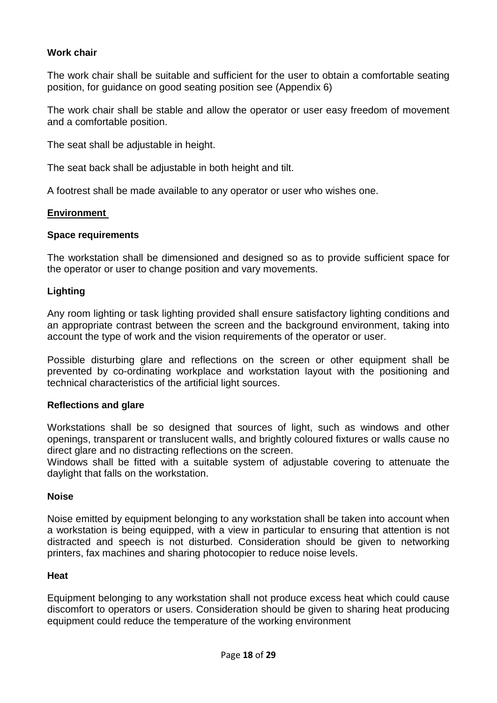#### **Work chair**

The work chair shall be suitable and sufficient for the user to obtain a comfortable seating position, for guidance on good seating position see (Appendix 6)

The work chair shall be stable and allow the operator or user easy freedom of movement and a comfortable position.

The seat shall be adjustable in height.

The seat back shall be adjustable in both height and tilt.

A footrest shall be made available to any operator or user who wishes one.

#### **Environment**

#### **Space requirements**

The workstation shall be dimensioned and designed so as to provide sufficient space for the operator or user to change position and vary movements.

#### **Lighting**

Any room lighting or task lighting provided shall ensure satisfactory lighting conditions and an appropriate contrast between the screen and the background environment, taking into account the type of work and the vision requirements of the operator or user.

Possible disturbing glare and reflections on the screen or other equipment shall be prevented by co-ordinating workplace and workstation layout with the positioning and technical characteristics of the artificial light sources.

#### **Reflections and glare**

Workstations shall be so designed that sources of light, such as windows and other openings, transparent or translucent walls, and brightly coloured fixtures or walls cause no direct glare and no distracting reflections on the screen.

Windows shall be fitted with a suitable system of adjustable covering to attenuate the daylight that falls on the workstation.

#### **Noise**

Noise emitted by equipment belonging to any workstation shall be taken into account when a workstation is being equipped, with a view in particular to ensuring that attention is not distracted and speech is not disturbed. Consideration should be given to networking printers, fax machines and sharing photocopier to reduce noise levels.

#### **Heat**

Equipment belonging to any workstation shall not produce excess heat which could cause discomfort to operators or users. Consideration should be given to sharing heat producing equipment could reduce the temperature of the working environment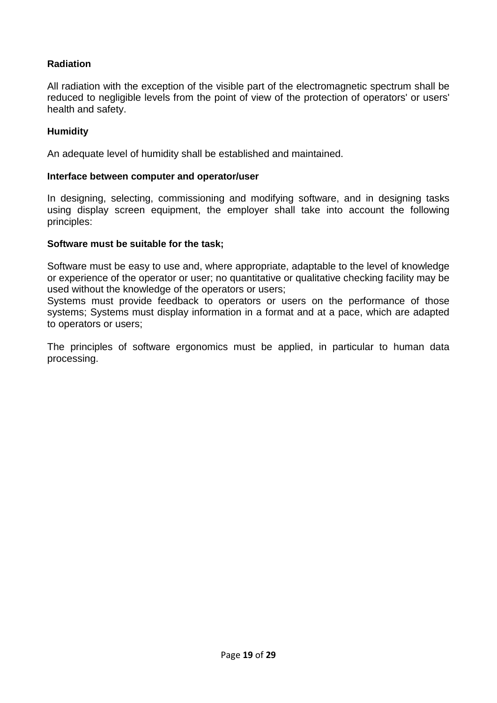#### **Radiation**

All radiation with the exception of the visible part of the electromagnetic spectrum shall be reduced to negligible levels from the point of view of the protection of operators' or users' health and safety.

#### **Humidity**

An adequate level of humidity shall be established and maintained.

#### **Interface between computer and operator/user**

In designing, selecting, commissioning and modifying software, and in designing tasks using display screen equipment, the employer shall take into account the following principles:

#### **Software must be suitable for the task;**

Software must be easy to use and, where appropriate, adaptable to the level of knowledge or experience of the operator or user; no quantitative or qualitative checking facility may be used without the knowledge of the operators or users;

Systems must provide feedback to operators or users on the performance of those systems; Systems must display information in a format and at a pace, which are adapted to operators or users;

The principles of software ergonomics must be applied, in particular to human data processing.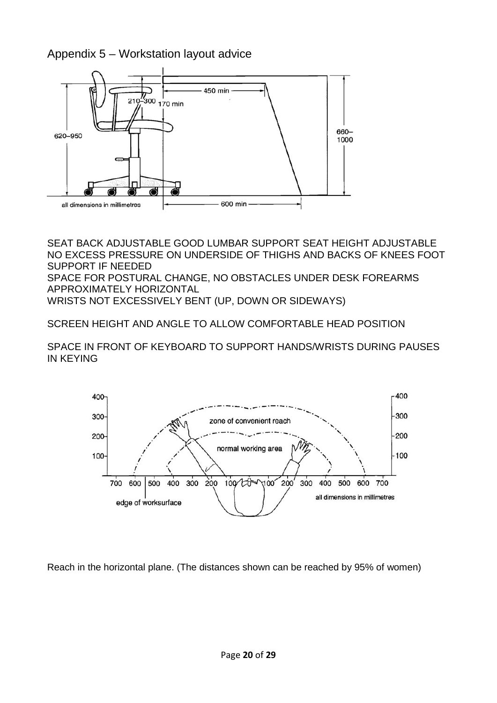### Appendix 5 – Workstation layout advice



SEAT BACK ADJUSTABLE GOOD LUMBAR SUPPORT SEAT HEIGHT ADJUSTABLE NO EXCESS PRESSURE ON UNDERSIDE OF THIGHS AND BACKS OF KNEES FOOT SUPPORT IF NEEDED SPACE FOR POSTURAL CHANGE, NO OBSTACLES UNDER DESK FOREARMS APPROXIMATELY HORIZONTAL WRISTS NOT EXCESSIVELY BENT (UP, DOWN OR SIDEWAYS)

SCREEN HEIGHT AND ANGLE TO ALLOW COMFORTABLE HEAD POSITION

SPACE IN FRONT OF KEYBOARD TO SUPPORT HANDS/WRISTS DURING PAUSES IN KEYING



Reach in the horizontal plane. (The distances shown can be reached by 95% of women)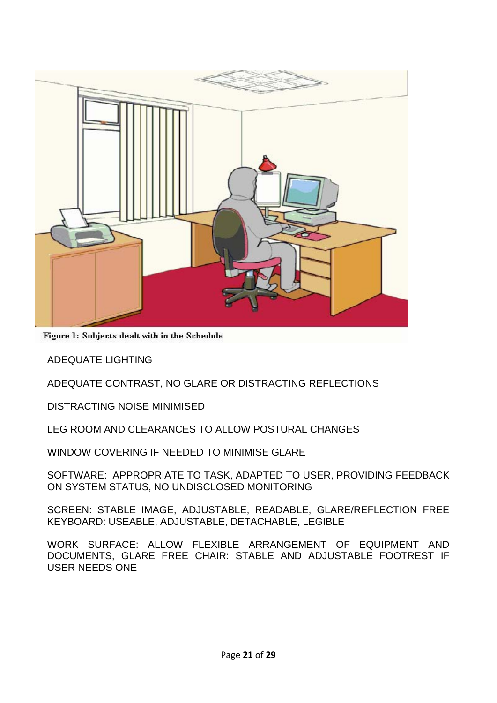

Figure 1: Subjects dealt with in the Schedule

ADEQUATE LIGHTING

ADEQUATE CONTRAST, NO GLARE OR DISTRACTING REFLECTIONS

DISTRACTING NOISE MINIMISED

LEG ROOM AND CLEARANCES TO ALLOW POSTURAL CHANGES

WINDOW COVERING IF NEEDED TO MINIMISE GLARE

SOFTWARE: APPROPRIATE TO TASK, ADAPTED TO USER, PROVIDING FEEDBACK ON SYSTEM STATUS, NO UNDISCLOSED MONITORING

SCREEN: STABLE IMAGE, ADJUSTABLE, READABLE, GLARE/REFLECTION FREE KEYBOARD: USEABLE, ADJUSTABLE, DETACHABLE, LEGIBLE

WORK SURFACE: ALLOW FLEXIBLE ARRANGEMENT OF EQUIPMENT AND DOCUMENTS, GLARE FREE CHAIR: STABLE AND ADJUSTABLE FOOTREST IF USER NEEDS ONE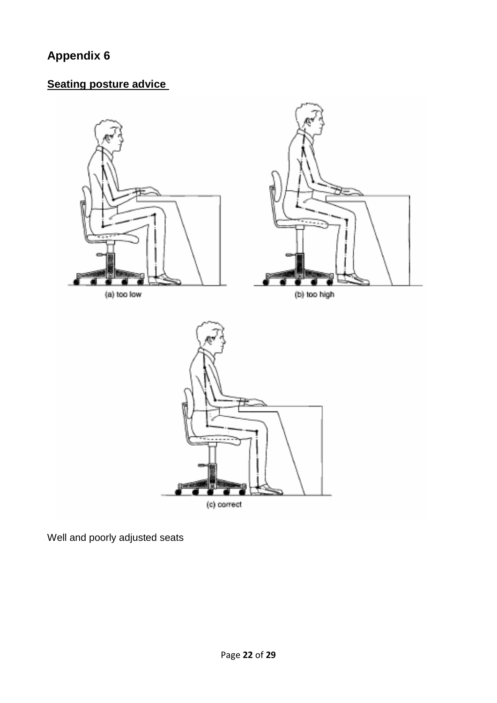## **Seating posture advice**



Well and poorly adjusted seats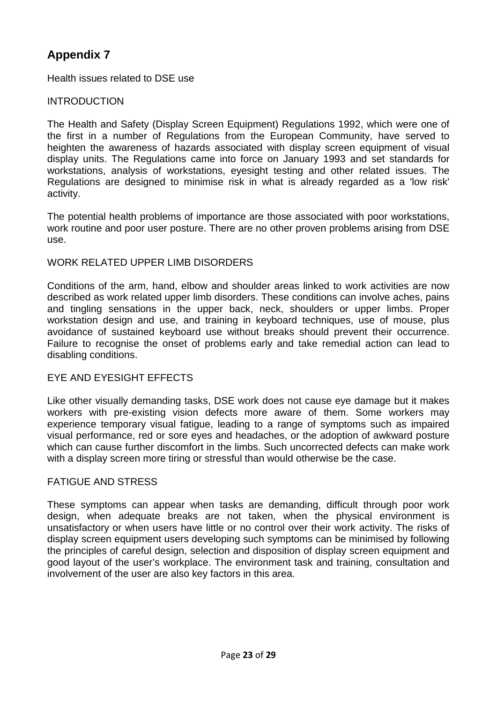Health issues related to DSE use

#### INTRODUCTION

The Health and Safety (Display Screen Equipment) Regulations 1992, which were one of the first in a number of Regulations from the European Community, have served to heighten the awareness of hazards associated with display screen equipment of visual display units. The Regulations came into force on January 1993 and set standards for workstations, analysis of workstations, eyesight testing and other related issues. The Regulations are designed to minimise risk in what is already regarded as a 'low risk' activity.

The potential health problems of importance are those associated with poor workstations, work routine and poor user posture. There are no other proven problems arising from DSE use.

#### WORK RELATED UPPER LIMB DISORDERS

Conditions of the arm, hand, elbow and shoulder areas linked to work activities are now described as work related upper limb disorders. These conditions can involve aches, pains and tingling sensations in the upper back, neck, shoulders or upper limbs. Proper workstation design and use, and training in keyboard techniques, use of mouse, plus avoidance of sustained keyboard use without breaks should prevent their occurrence. Failure to recognise the onset of problems early and take remedial action can lead to disabling conditions.

#### EYE AND EYESIGHT EFFECTS

Like other visually demanding tasks, DSE work does not cause eye damage but it makes workers with pre-existing vision defects more aware of them. Some workers may experience temporary visual fatigue, leading to a range of symptoms such as impaired visual performance, red or sore eyes and headaches, or the adoption of awkward posture which can cause further discomfort in the limbs. Such uncorrected defects can make work with a display screen more tiring or stressful than would otherwise be the case.

#### FATIGUE AND STRESS

These symptoms can appear when tasks are demanding, difficult through poor work design, when adequate breaks are not taken, when the physical environment is unsatisfactory or when users have little or no control over their work activity. The risks of display screen equipment users developing such symptoms can be minimised by following the principles of careful design, selection and disposition of display screen equipment and good layout of the user's workplace. The environment task and training, consultation and involvement of the user are also key factors in this area.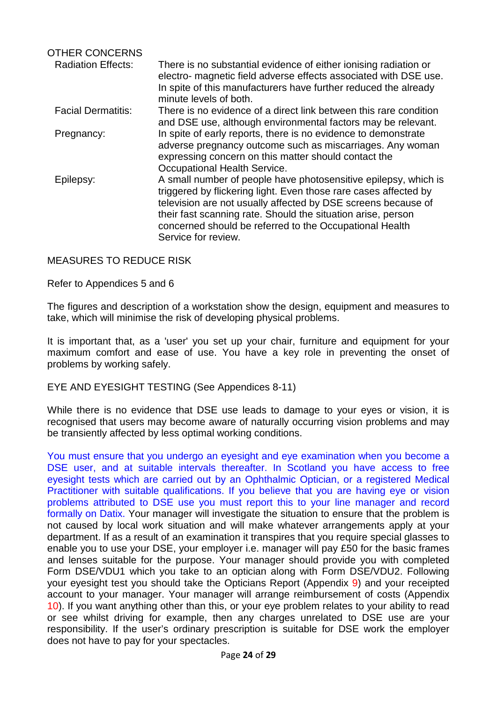| <b>OTHER CONCERNS</b>     |                                                                                                                                                                                                                                                                                                                                                        |
|---------------------------|--------------------------------------------------------------------------------------------------------------------------------------------------------------------------------------------------------------------------------------------------------------------------------------------------------------------------------------------------------|
| <b>Radiation Effects:</b> | There is no substantial evidence of either ionising radiation or<br>electro- magnetic field adverse effects associated with DSE use.<br>In spite of this manufacturers have further reduced the already<br>minute levels of both.                                                                                                                      |
| <b>Facial Dermatitis:</b> | There is no evidence of a direct link between this rare condition<br>and DSE use, although environmental factors may be relevant.                                                                                                                                                                                                                      |
| Pregnancy:                | In spite of early reports, there is no evidence to demonstrate<br>adverse pregnancy outcome such as miscarriages. Any woman<br>expressing concern on this matter should contact the<br>Occupational Health Service.                                                                                                                                    |
| Epilepsy:                 | A small number of people have photosensitive epilepsy, which is<br>triggered by flickering light. Even those rare cases affected by<br>television are not usually affected by DSE screens because of<br>their fast scanning rate. Should the situation arise, person<br>concerned should be referred to the Occupational Health<br>Service for review. |

#### MEASURES TO REDUCE RISK

#### Refer to Appendices 5 and 6

The figures and description of a workstation show the design, equipment and measures to take, which will minimise the risk of developing physical problems.

It is important that, as a 'user' you set up your chair, furniture and equipment for your maximum comfort and ease of use. You have a key role in preventing the onset of problems by working safely.

#### EYE AND EYESIGHT TESTING (See Appendices 8-11)

While there is no evidence that DSE use leads to damage to your eyes or vision, it is recognised that users may become aware of naturally occurring vision problems and may be transiently affected by less optimal working conditions.

You must ensure that you undergo an eyesight and eye examination when you become a DSE user, and at suitable intervals thereafter. In Scotland you have access to free eyesight tests which are carried out by an Ophthalmic Optician, or a registered Medical Practitioner with suitable qualifications. If you believe that you are having eye or vision problems attributed to DSE use you must report this to your line manager and record formally on Datix. Your manager will investigate the situation to ensure that the problem is not caused by local work situation and will make whatever arrangements apply at your department. If as a result of an examination it transpires that you require special glasses to enable you to use your DSE, your employer i.e. manager will pay £50 for the basic frames and lenses suitable for the purpose. Your manager should provide you with completed Form DSE/VDU1 which you take to an optician along with Form DSE/VDU2. Following your eyesight test you should take the Opticians Report (Appendix 9) and your receipted account to your manager. Your manager will arrange reimbursement of costs (Appendix 10). If you want anything other than this, or your eye problem relates to your ability to read or see whilst driving for example, then any charges unrelated to DSE use are your responsibility. If the user's ordinary prescription is suitable for DSE work the employer does not have to pay for your spectacles.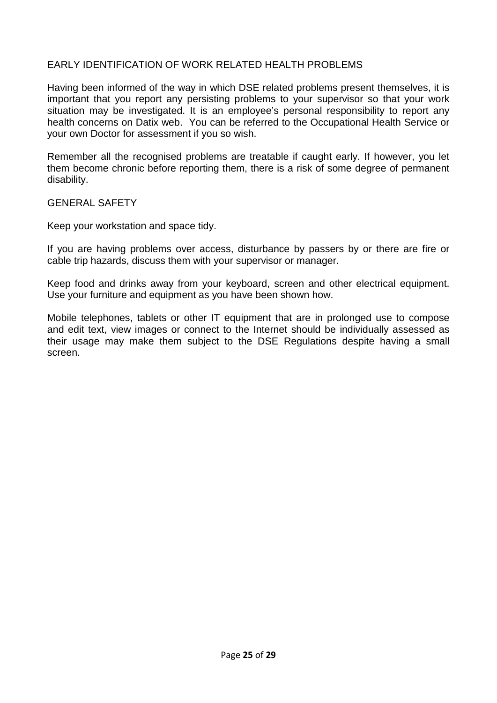#### EARLY IDENTIFICATION OF WORK RELATED HEALTH PROBLEMS

Having been informed of the way in which DSE related problems present themselves, it is important that you report any persisting problems to your supervisor so that your work situation may be investigated. It is an employee's personal responsibility to report any health concerns on Datix web. You can be referred to the Occupational Health Service or your own Doctor for assessment if you so wish.

Remember all the recognised problems are treatable if caught early. If however, you let them become chronic before reporting them, there is a risk of some degree of permanent disability.

GENERAL SAFETY

Keep your workstation and space tidy.

If you are having problems over access, disturbance by passers by or there are fire or cable trip hazards, discuss them with your supervisor or manager.

Keep food and drinks away from your keyboard, screen and other electrical equipment. Use your furniture and equipment as you have been shown how.

Mobile telephones, tablets or other IT equipment that are in prolonged use to compose and edit text, view images or connect to the Internet should be individually assessed as their usage may make them subject to the DSE Regulations despite having a small screen.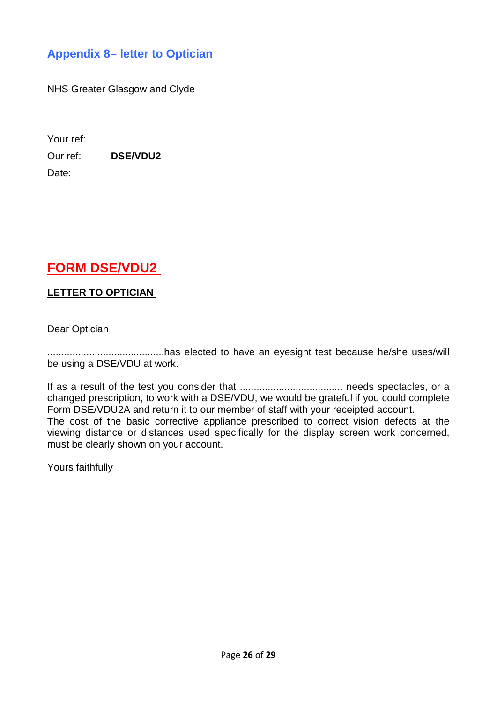### **Appendix 8– letter to Optician**

NHS Greater Glasgow and Clyde

| Your ref: |                 |
|-----------|-----------------|
| Our ref:  | <b>DSE/VDU2</b> |

**FORM DSE/VDU2** 

#### **LETTER TO OPTICIAN**

Dear Optician

Date:

..........................................has elected to have an eyesight test because he/she uses/will be using a DSE/VDU at work.

If as a result of the test you consider that ..................................... needs spectacles, or a changed prescription, to work with a DSE/VDU, we would be grateful if you could complete Form DSE/VDU2A and return it to our member of staff with your receipted account. The cost of the basic corrective appliance prescribed to correct vision defects at the viewing distance or distances used specifically for the display screen work concerned, must be clearly shown on your account.

Yours faithfully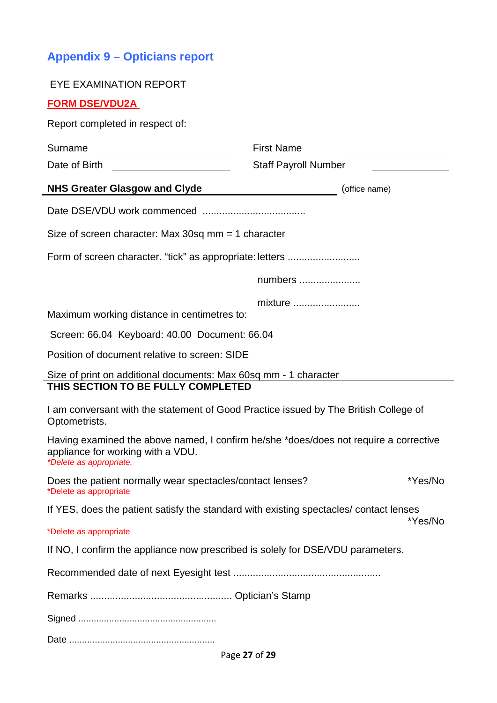# **Appendix 9 – Opticians report**

| <b>EYE EXAMINATION REPORT</b>                                                                                                                         |                                                          |         |
|-------------------------------------------------------------------------------------------------------------------------------------------------------|----------------------------------------------------------|---------|
| <b>FORM DSE/VDU2A</b>                                                                                                                                 |                                                          |         |
| Report completed in respect of:                                                                                                                       |                                                          |         |
| Surname                                                                                                                                               | <b>First Name</b>                                        |         |
|                                                                                                                                                       | <b>Staff Payroll Number</b>                              |         |
| <b>NHS Greater Glasgow and Clyde</b>                                                                                                                  | (office name)<br><u> 1980 - Johann Barbara, martin a</u> |         |
|                                                                                                                                                       |                                                          |         |
| Size of screen character: Max 30sq $mm = 1$ character                                                                                                 |                                                          |         |
|                                                                                                                                                       |                                                          |         |
|                                                                                                                                                       | numbers                                                  |         |
| Maximum working distance in centimetres to:                                                                                                           | mixture                                                  |         |
| Screen: 66.04 Keyboard: 40.00 Document: 66.04                                                                                                         |                                                          |         |
| Position of document relative to screen: SIDE                                                                                                         |                                                          |         |
| Size of print on additional documents: Max 60sq mm - 1 character<br>THIS SECTION TO BE FULLY COMPLETED                                                |                                                          |         |
| I am conversant with the statement of Good Practice issued by The British College of<br>Optometrists.                                                 |                                                          |         |
| Having examined the above named, I confirm he/she *does/does not require a corrective<br>appliance for working with a VDU.<br>*Delete as appropriate. |                                                          |         |
| Does the patient normally wear spectacles/contact lenses?<br>*Delete as appropriate                                                                   |                                                          | *Yes/No |
| If YES, does the patient satisfy the standard with existing spectacles/ contact lenses                                                                |                                                          | *Yes/No |
| *Delete as appropriate                                                                                                                                |                                                          |         |
| If NO, I confirm the appliance now prescribed is solely for DSE/VDU parameters.                                                                       |                                                          |         |
|                                                                                                                                                       |                                                          |         |
|                                                                                                                                                       |                                                          |         |
|                                                                                                                                                       |                                                          |         |
|                                                                                                                                                       |                                                          |         |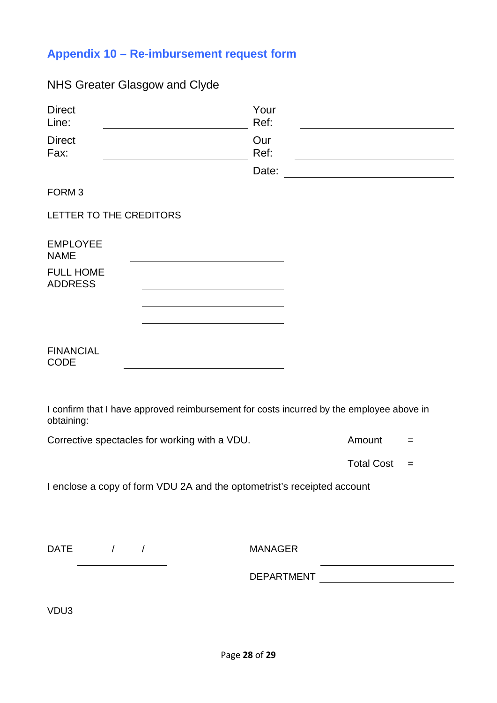# **Appendix 10 – Re-imbursement request form**

## NHS Greater Glasgow and Clyde

| <b>Direct</b><br>Line:                                                                                 | Your<br>Ref: |                   |     |
|--------------------------------------------------------------------------------------------------------|--------------|-------------------|-----|
| <b>Direct</b><br>Fax:                                                                                  | Our<br>Ref:  |                   |     |
|                                                                                                        | Date:        |                   |     |
| FORM <sub>3</sub>                                                                                      |              |                   |     |
| LETTER TO THE CREDITORS                                                                                |              |                   |     |
| <b>EMPLOYEE</b><br><b>NAME</b>                                                                         |              |                   |     |
| <b>FULL HOME</b><br><b>ADDRESS</b>                                                                     |              |                   |     |
|                                                                                                        |              |                   |     |
| <b>FINANCIAL</b><br><b>CODE</b>                                                                        |              |                   |     |
|                                                                                                        |              |                   |     |
| I confirm that I have approved reimbursement for costs incurred by the employee above in<br>obtaining: |              |                   |     |
| Corrective spectacles for working with a VDU.                                                          |              | Amount            | $=$ |
|                                                                                                        |              | <b>Total Cost</b> | $=$ |
| I enclose a copy of form VDU 2A and the optometrist's receipted account                                |              |                   |     |
|                                                                                                        |              |                   |     |

DATE / / MANAGER

DEPARTMENT

VDU3